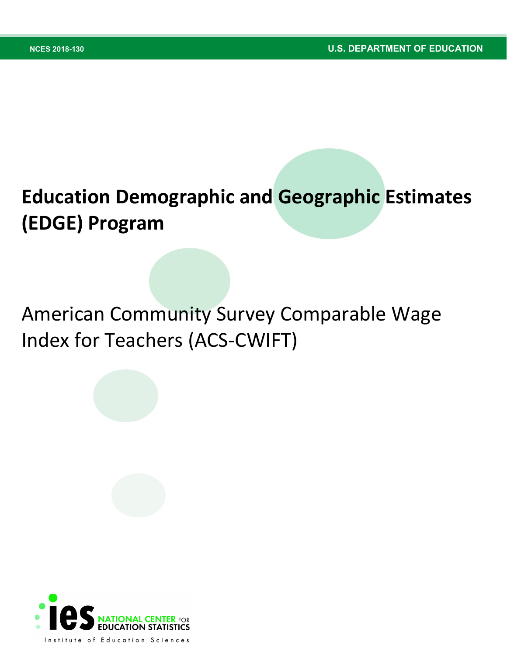# **Education Demographic and Geographic Estimates (EDGE) Program**

# American Community Survey Comparable Wage Index for Teachers (ACS-CWIFT)

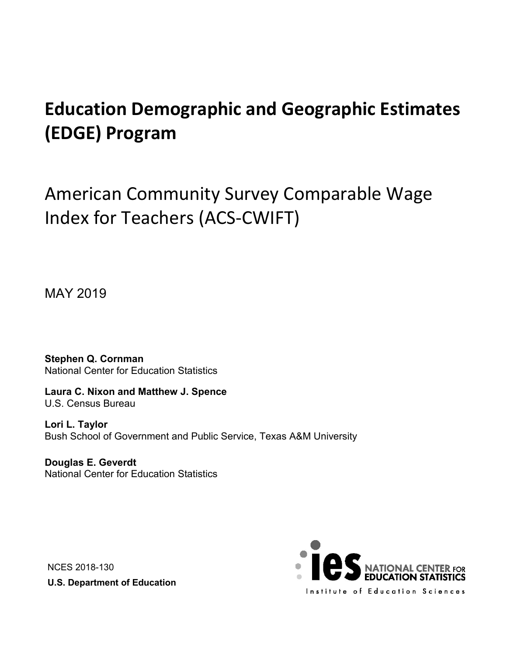# **Education Demographic and Geographic Estimates (EDGE) Program**

American Community Survey Comparable Wage Index for Teachers (ACS-CWIFT)

MAY 2019

**Stephen Q. Cornman** National Center for Education Statistics

**Laura C. Nixon and Matthew J. Spence** U.S. Census Bureau

**Lori L. Taylor** Bush School of Government and Public Service, Texas A&M University

**Douglas E. Geverdt** National Center for Education Statistics

NCES 2018-130 **U.S. Department of Education**

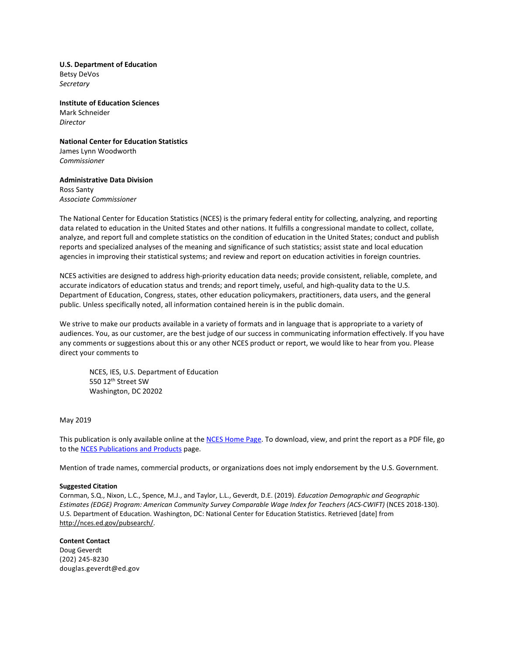**U.S. Department of Education**  Betsy DeVos *Secretary* 

**Institute of Education Sciences**  Mark Schneider *Director*

**National Center for Education Statistics**  James Lynn Woodworth *Commissioner* 

#### **Administrative Data Division**  Ross Santy *Associate Commissioner*

The National Center for Education Statistics (NCES) is the primary federal entity for collecting, analyzing, and reporting data related to education in the United States and other nations. It fulfills a congressional mandate to collect, collate, analyze, and report full and complete statistics on the condition of education in the United States; conduct and publish reports and specialized analyses of the meaning and significance of such statistics; assist state and local education agencies in improving their statistical systems; and review and report on education activities in foreign countries.

NCES activities are designed to address high-priority education data needs; provide consistent, reliable, complete, and accurate indicators of education status and trends; and report timely, useful, and high-quality data to the U.S. Department of Education, Congress, states, other education policymakers, practitioners, data users, and the general public. Unless specifically noted, all information contained herein is in the public domain.

We strive to make our products available in a variety of formats and in language that is appropriate to a variety of audiences. You, as our customer, are the best judge of our success in communicating information effectively. If you have any comments or suggestions about this or any other NCES product or report, we would like to hear from you. Please direct your comments to

NCES, IES, U.S. Department of Education 550 12th Street SW Washington, DC 20202

#### May 2019

This publication is only available online at th[e NCES Home Page.](http://nces.ed.gov/) To download, view, and print the report as a PDF file, go to th[e NCES Publications and Products](http://nces.ed.gov/pubsearch) page.

Mention of trade names, commercial products, or organizations does not imply endorsement by the U.S. Government.

#### **Suggested Citation**

Cornman, S.Q., Nixon, L.C., Spence, M.J., and Taylor, L.L., Geverdt, D.E. (2019). *Education Demographic and Geographic*  Estimates (EDGE) Program: American Community Survey Comparable Wage Index for Teachers (ACS-CWIFT) (NCES 2018-130). U.S. Department of Education. Washington, DC: National Center for Education Statistics. Retrieved [date] from http://nces.ed.gov/pubsearch/.

**Content Contact** Doug Geverdt (202) 245-8230 douglas.geverdt@ed.gov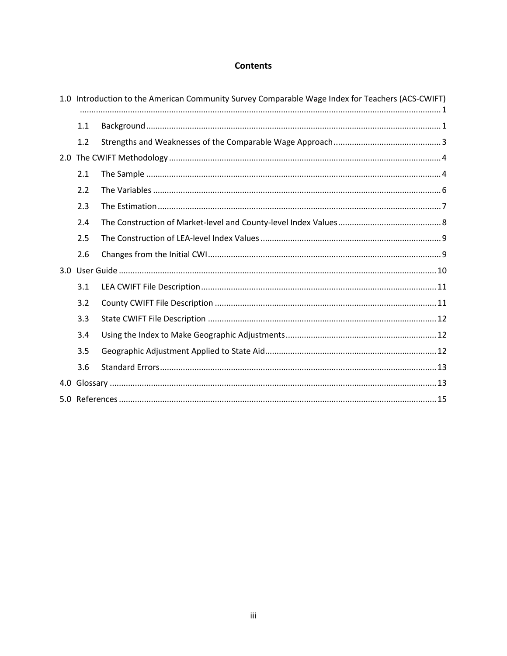# **Contents**

<span id="page-3-0"></span>

|     | 1.0 Introduction to the American Community Survey Comparable Wage Index for Teachers (ACS-CWIFT) |  |  |  |  |
|-----|--------------------------------------------------------------------------------------------------|--|--|--|--|
|     | 1.1                                                                                              |  |  |  |  |
|     | 1.2                                                                                              |  |  |  |  |
|     |                                                                                                  |  |  |  |  |
|     | 2.1                                                                                              |  |  |  |  |
|     | 2.2                                                                                              |  |  |  |  |
|     | 2.3                                                                                              |  |  |  |  |
|     | 2.4                                                                                              |  |  |  |  |
|     | 2.5                                                                                              |  |  |  |  |
|     | 2.6                                                                                              |  |  |  |  |
|     |                                                                                                  |  |  |  |  |
|     | 3.1                                                                                              |  |  |  |  |
|     | 3.2                                                                                              |  |  |  |  |
|     | 3.3                                                                                              |  |  |  |  |
|     | 3.4                                                                                              |  |  |  |  |
|     | 3.5                                                                                              |  |  |  |  |
|     | 3.6                                                                                              |  |  |  |  |
| 4.0 |                                                                                                  |  |  |  |  |
|     |                                                                                                  |  |  |  |  |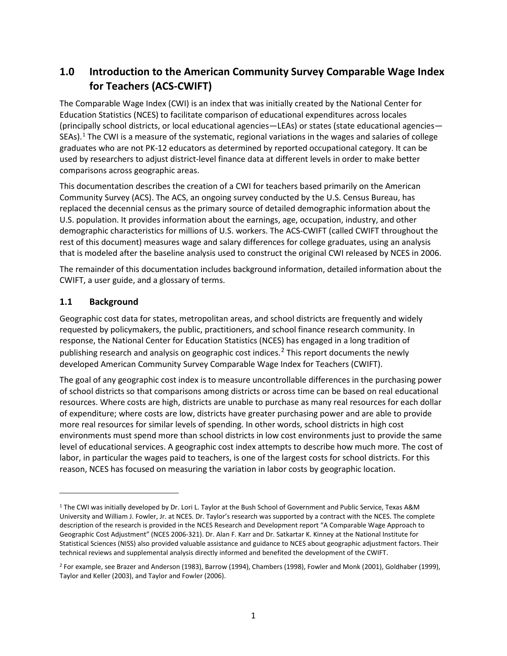# **1.0 Introduction to the American Community Survey Comparable Wage Index for Teachers (ACS-CWIFT)**

The Comparable Wage Index (CWI) is an index that was initially created by the National Center for Education Statistics (NCES) to facilitate comparison of educational expenditures across locales (principally school districts, or local educational agencies—LEAs) or states (state educational agencies— SEAs).[1](#page-4-1) The CWI is a measure of the systematic, regional variations in the wages and salaries of college graduates who are not PK-12 educators as determined by reported occupational category. It can be used by researchers to adjust district-level finance data at different levels in order to make better comparisons across geographic areas.

This documentation describes the creation of a CWI for teachers based primarily on the American Community Survey (ACS). The ACS, an ongoing survey conducted by the U.S. Census Bureau, has replaced the decennial census as the primary source of detailed demographic information about the U.S. population. It provides information about the earnings, age, occupation, industry, and other demographic characteristics for millions of U.S. workers. The ACS-CWIFT (called CWIFT throughout the rest of this document) measures wage and salary differences for college graduates, using an analysis that is modeled after the baseline analysis used to construct the original CWI released by NCES in 2006.

The remainder of this documentation includes background information, detailed information about the CWIFT, a user guide, and a glossary of terms.

## <span id="page-4-0"></span>**1.1 Background**

 $\overline{a}$ 

Geographic cost data for states, metropolitan areas, and school districts are frequently and widely requested by policymakers, the public, practitioners, and school finance research community. In response, the National Center for Education Statistics (NCES) has engaged in a long tradition of publishing research and analysis on geographic cost indices.<sup>[2](#page-4-2)</sup> This report documents the newly developed American Community Survey Comparable Wage Index for Teachers (CWIFT).

The goal of any geographic cost index is to measure uncontrollable differences in the purchasing power of school districts so that comparisons among districts or across time can be based on real educational resources. Where costs are high, districts are unable to purchase as many real resources for each dollar of expenditure; where costs are low, districts have greater purchasing power and are able to provide more real resources for similar levels of spending. In other words, school districts in high cost environments must spend more than school districts in low cost environments just to provide the same level of educational services. A geographic cost index attempts to describe how much more. The cost of labor, in particular the wages paid to teachers, is one of the largest costs for school districts. For this reason, NCES has focused on measuring the variation in labor costs by geographic location.

<span id="page-4-1"></span><sup>&</sup>lt;sup>1</sup> The CWI was initially developed by Dr. Lori L. Taylor at the Bush School of Government and Public Service, Texas A&M University and William J. Fowler, Jr. at NCES. Dr. Taylor's research was supported by a contract with the NCES. The complete description of the research is provided in the NCES Research and Development report "A Comparable Wage Approach to Geographic Cost Adjustment" (NCES 2006-321). Dr. Alan F. Karr and Dr. Satkartar K. Kinney at the National Institute for Statistical Sciences (NISS) also provided valuable assistance and guidance to NCES about geographic adjustment factors. Their technical reviews and supplemental analysis directly informed and benefited the development of the CWIFT.

<span id="page-4-2"></span><sup>2</sup> For example, see Brazer and Anderson (1983), Barrow (1994), Chambers (1998), Fowler and Monk (2001), Goldhaber (1999), Taylor and Keller (2003), and Taylor and Fowler (2006).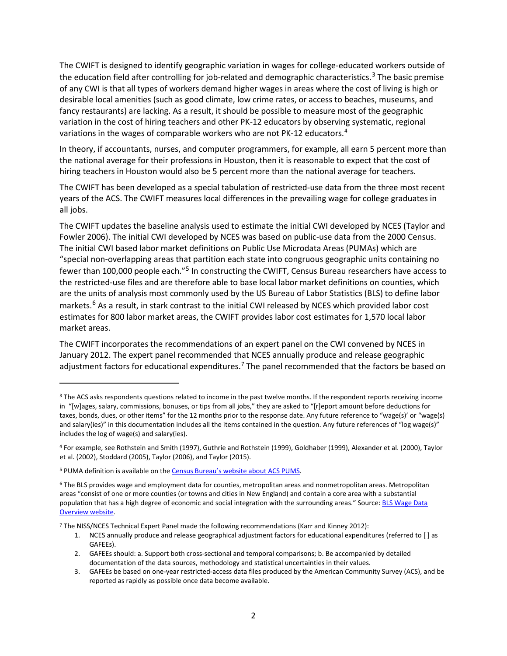The CWIFT is designed to identify geographic variation in wages for college-educated workers outside of the education field after controlling for job-related and demographic characteristics.<sup>[3](#page-5-0)</sup> The basic premise of any CWI is that all types of workers demand higher wages in areas where the cost of living is high or desirable local amenities (such as good climate, low crime rates, or access to beaches, museums, and fancy restaurants) are lacking. As a result, it should be possible to measure most of the geographic variation in the cost of hiring teachers and other PK-12 educators by observing systematic, regional variations in the wages of comparable workers who are not PK-12 educators.[4](#page-5-1)

In theory, if accountants, nurses, and computer programmers, for example, all earn 5 percent more than the national average for their professions in Houston, then it is reasonable to expect that the cost of hiring teachers in Houston would also be 5 percent more than the national average for teachers.

The CWIFT has been developed as a special tabulation of restricted-use data from the three most recent years of the ACS. The CWIFT measures local differences in the prevailing wage for college graduates in all jobs.

The CWIFT updates the baseline analysis used to estimate the initial CWI developed by NCES (Taylor and Fowler 2006). The initial CWI developed by NCES was based on public-use data from the 2000 Census. The initial CWI based labor market definitions on Public Use Microdata Areas (PUMAs) which are "special non-overlapping areas that partition each state into congruous geographic units containing no fewer than 100,000 people each."<sup>[5](#page-5-2)</sup> In constructing the CWIFT, Census Bureau researchers have access to the restricted-use files and are therefore able to base local labor market definitions on counties, which are the units of analysis most commonly used by the US Bureau of Labor Statistics (BLS) to define labor markets.<sup>[6](#page-5-3)</sup> As a result, in stark contrast to the initial CWI released by NCES which provided labor cost estimates for 800 labor market areas, the CWIFT provides labor cost estimates for 1,570 local labor market areas.

The CWIFT incorporates the recommendations of an expert panel on the CWI convened by NCES in January 2012. The expert panel recommended that NCES annually produce and release geographic adjustment factors for educational expenditures.<sup>[7](#page-5-4)</sup> The panel recommended that the factors be based on

 $\overline{\phantom{a}}$ 

<span id="page-5-0"></span><sup>&</sup>lt;sup>3</sup> The ACS asks respondents questions related to income in the past twelve months. If the respondent reports receiving income in "[w]ages, salary, commissions, bonuses, or tips from all jobs," they are asked to "[r]eport amount before deductions for taxes, bonds, dues, or other items" for the 12 months prior to the response date. Any future reference to "wage(s)' or "wage(s) and salary(ies)" in this documentation includes all the items contained in the question. Any future references of "log wage(s)" includes the log of wage(s) and salary(ies).

<span id="page-5-1"></span><sup>4</sup> For example, see Rothstein and Smith (1997), Guthrie and Rothstein (1999), Goldhaber (1999), Alexander et al. (2000), Taylor et al. (2002), Stoddard (2005), Taylor (2006), and Taylor (2015).

<span id="page-5-2"></span><sup>5</sup> PUMA definition is available on th[e Census Bureau's website about ACS PUMS.](https://www.census.gov/programs-surveys/acs/technical-documentation/pums/about.html)

<span id="page-5-3"></span><sup>6</sup> The BLS provides wage and employment data for counties, metropolitan areas and nonmetropolitan areas. Metropolitan areas "consist of one or more counties (or towns and cities in New England) and contain a core area with a substantial population that has a high degree of economic and social integration with the surrounding areas." Source[: BLS Wage Data](https://stats.bls.gov/bls/blswage.htm)  [Overview website.](https://stats.bls.gov/bls/blswage.htm) 

<span id="page-5-4"></span><sup>7</sup> The NISS/NCES Technical Expert Panel made the following recommendations (Karr and Kinney 2012):

<sup>1.</sup> NCES annually produce and release geographical adjustment factors for educational expenditures (referred to [ ] as GAFEEs).

<sup>2.</sup> GAFEEs should: a. Support both cross-sectional and temporal comparisons; b. Be accompanied by detailed documentation of the data sources, methodology and statistical uncertainties in their values.

<sup>3.</sup> GAFEEs be based on one-year restricted-access data files produced by the American Community Survey (ACS), and be reported as rapidly as possible once data become available.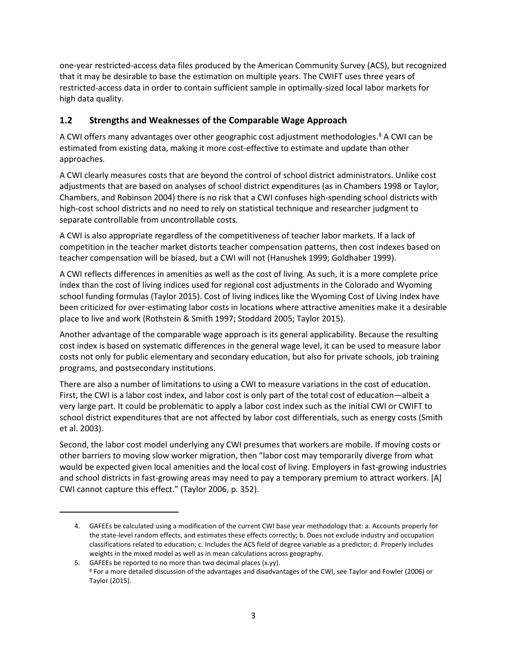one-year restricted-access data files produced by the American Community Survey (ACS), but recognized that it may be desirable to base the estimation on multiple years. The CWIFT uses three years of restricted-access data in order to contain sufficient sample in optimally-sized local labor markets for high data quality.

# <span id="page-6-0"></span>**1.2 Strengths and Weaknesses of the Comparable Wage Approach**

A CWI offers many advantages over other geographic cost adjustment methodologies.<sup>8</sup> A CWI can be estimated from existing data, making it more cost-effective to estimate and update than other approaches.

A CWI clearly measures costs that are beyond the control of school district administrators. Unlike cost adjustments that are based on analyses of school district expenditures (as in Chambers 1998 or Taylor, Chambers, and Robinson 2004) there is no risk that a CWI confuses high-spending school districts with high-cost school districts and no need to rely on statistical technique and researcher judgment to separate controllable from uncontrollable costs.

A CWI is also appropriate regardless of the competitiveness of teacher labor markets. If a lack of competition in the teacher market distorts teacher compensation patterns, then cost indexes based on teacher compensation will be biased, but a CWI will not (Hanushek 1999; Goldhaber 1999).

A CWI reflects differences in amenities as well as the cost of living. As such, it is a more complete price index than the cost of living indices used for regional cost adjustments in the Colorado and Wyoming school funding formulas (Taylor 2015). Cost of living indices like the Wyoming Cost of Living Index have been criticized for over-estimating labor costs in locations where attractive amenities make it a desirable place to live and work (Rothstein & Smith 1997; Stoddard 2005; Taylor 2015).

Another advantage of the comparable wage approach is its general applicability. Because the resulting cost index is based on systematic differences in the general wage level, it can be used to measure labor costs not only for public elementary and secondary education, but also for private schools, job training programs, and postsecondary institutions.

There are also a number of limitations to using a CWI to measure variations in the cost of education. First, the CWI is a labor cost index, and labor cost is only part of the total cost of education—albeit a very large part. It could be problematic to apply a labor cost index such as the initial CWI or CWIFT to school district expenditures that are not affected by labor cost differentials, such as energy costs (Smith et al. 2003).

Second, the labor cost model underlying any CWI presumes that workers are mobile. If moving costs or other barriers to moving slow worker migration, then "labor cost may temporarily diverge from what would be expected given local amenities and the local cost of living. Employers in fast-growing industries and school districts in fast-growing areas may need to pay a temporary premium to attract workers. [A] CWI cannot capture this effect." (Taylor 2006, p. 352).

 $\overline{a}$ 

<sup>4.</sup> GAFEEs be calculated using a modification of the current CWI base year methodology that: a. Accounts properly for the state-level random effects, and estimates these effects correctly; b. Does not exclude industry and occupation classifications related to education; c. Includes the ACS field of degree variable as a predictor; d. Properly includes weights in the mixed model as well as in mean calculations across geography.

<span id="page-6-1"></span><sup>5.</sup> GAFEEs be reported to no more than two decimal places (x.yy). <sup>8</sup> For a more detailed discussion of the advantages and disadvantages of the CWI, see Taylor and Fowler (2006) or Taylor (2015).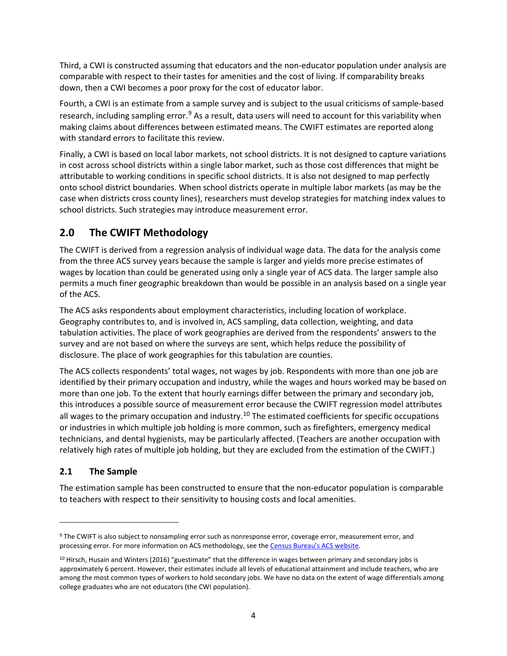Third, a CWI is constructed assuming that educators and the non-educator population under analysis are comparable with respect to their tastes for amenities and the cost of living. If comparability breaks down, then a CWI becomes a poor proxy for the cost of educator labor.

Fourth, a CWI is an estimate from a sample survey and is subject to the usual criticisms of sample-based research, including sampling error.<sup>[9](#page-7-2)</sup> As a result, data users will need to account for this variability when making claims about differences between estimated means. The CWIFT estimates are reported along with standard errors to facilitate this review.

Finally, a CWI is based on local labor markets, not school districts. It is not designed to capture variations in cost across school districts within a single labor market, such as those cost differences that might be attributable to working conditions in specific school districts. It is also not designed to map perfectly onto school district boundaries. When school districts operate in multiple labor markets (as may be the case when districts cross county lines), researchers must develop strategies for matching index values to school districts. Such strategies may introduce measurement error.

# <span id="page-7-0"></span>**2.0 The CWIFT Methodology**

The CWIFT is derived from a regression analysis of individual wage data. The data for the analysis come from the three ACS survey years because the sample is larger and yields more precise estimates of wages by location than could be generated using only a single year of ACS data. The larger sample also permits a much finer geographic breakdown than would be possible in an analysis based on a single year of the ACS.

The ACS asks respondents about employment characteristics, including location of workplace. Geography contributes to, and is involved in, ACS sampling, data collection, weighting, and data tabulation activities. The place of work geographies are derived from the respondents' answers to the survey and are not based on where the surveys are sent, which helps reduce the possibility of disclosure. The place of work geographies for this tabulation are counties.

The ACS collects respondents' total wages, not wages by job. Respondents with more than one job are identified by their primary occupation and industry, while the wages and hours worked may be based on more than one job. To the extent that hourly earnings differ between the primary and secondary job, this introduces a possible source of measurement error because the CWIFT regression model attributes all wages to the primary occupation and industry.<sup>[10](#page-7-3)</sup> The estimated coefficients for specific occupations or industries in which multiple job holding is more common, such as firefighters, emergency medical technicians, and dental hygienists, may be particularly affected. (Teachers are another occupation with relatively high rates of multiple job holding, but they are excluded from the estimation of the CWIFT.)

# <span id="page-7-1"></span>**2.1 The Sample**

l

The estimation sample has been constructed to ensure that the non-educator population is comparable to teachers with respect to their sensitivity to housing costs and local amenities.

<span id="page-7-2"></span><sup>9</sup> The CWIFT is also subject to nonsampling error such as nonresponse error, coverage error, measurement error, and processing error. For more information on ACS methodology, see th[e Census Bureau's ACS website.](https://www.census.gov/programs-surveys/acs/)

<span id="page-7-3"></span> $10$  Hirsch, Husain and Winters (2016) "guestimate" that the difference in wages between primary and secondary jobs is approximately 6 percent. However, their estimates include all levels of educational attainment and include teachers, who are among the most common types of workers to hold secondary jobs. We have no data on the extent of wage differentials among college graduates who are not educators (the CWI population).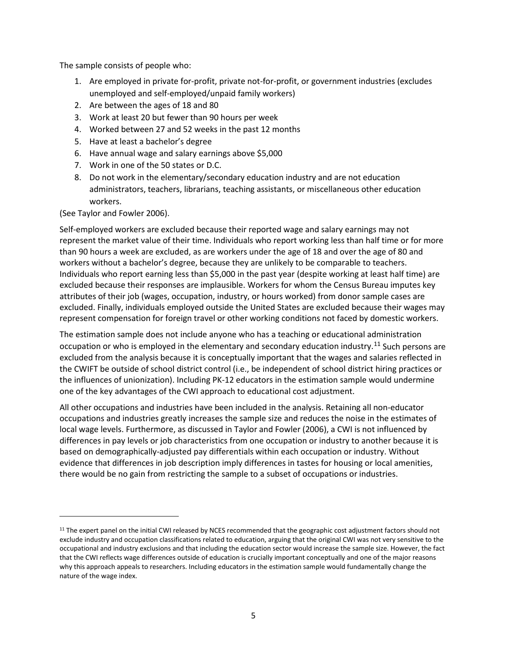The sample consists of people who:

- 1. Are employed in private for-profit, private not-for-profit, or government industries (excludes unemployed and self-employed/unpaid family workers)
- 2. Are between the ages of 18 and 80
- 3. Work at least 20 but fewer than 90 hours per week
- 4. Worked between 27 and 52 weeks in the past 12 months
- 5. Have at least a bachelor's degree
- 6. Have annual wage and salary earnings above \$5,000
- 7. Work in one of the 50 states or D.C.
- 8. Do not work in the elementary/secondary education industry and are not education administrators, teachers, librarians, teaching assistants, or miscellaneous other education workers.

(See Taylor and Fowler 2006).

l

Self-employed workers are excluded because their reported wage and salary earnings may not represent the market value of their time. Individuals who report working less than half time or for more than 90 hours a week are excluded, as are workers under the age of 18 and over the age of 80 and workers without a bachelor's degree, because they are unlikely to be comparable to teachers. Individuals who report earning less than \$5,000 in the past year (despite working at least half time) are excluded because their responses are implausible. Workers for whom the Census Bureau imputes key attributes of their job (wages, occupation, industry, or hours worked) from donor sample cases are excluded. Finally, individuals employed outside the United States are excluded because their wages may represent compensation for foreign travel or other working conditions not faced by domestic workers.

The estimation sample does not include anyone who has a teaching or educational administration occupation or who is employed in the elementary and secondary education industry.<sup>[11](#page-8-0)</sup> Such persons are excluded from the analysis because it is conceptually important that the wages and salaries reflected in the CWIFT be outside of school district control (i.e., be independent of school district hiring practices or the influences of unionization). Including PK-12 educators in the estimation sample would undermine one of the key advantages of the CWI approach to educational cost adjustment.

All other occupations and industries have been included in the analysis. Retaining all non-educator occupations and industries greatly increases the sample size and reduces the noise in the estimates of local wage levels. Furthermore, as discussed in Taylor and Fowler (2006), a CWI is not influenced by differences in pay levels or job characteristics from one occupation or industry to another because it is based on demographically-adjusted pay differentials within each occupation or industry. Without evidence that differences in job description imply differences in tastes for housing or local amenities, there would be no gain from restricting the sample to a subset of occupations or industries.

<span id="page-8-0"></span><sup>&</sup>lt;sup>11</sup> The expert panel on the initial CWI released by NCES recommended that the geographic cost adjustment factors should not exclude industry and occupation classifications related to education, arguing that the original CWI was not very sensitive to the occupational and industry exclusions and that including the education sector would increase the sample size. However, the fact that the CWI reflects wage differences outside of education is crucially important conceptually and one of the major reasons why this approach appeals to researchers. Including educators in the estimation sample would fundamentally change the nature of the wage index.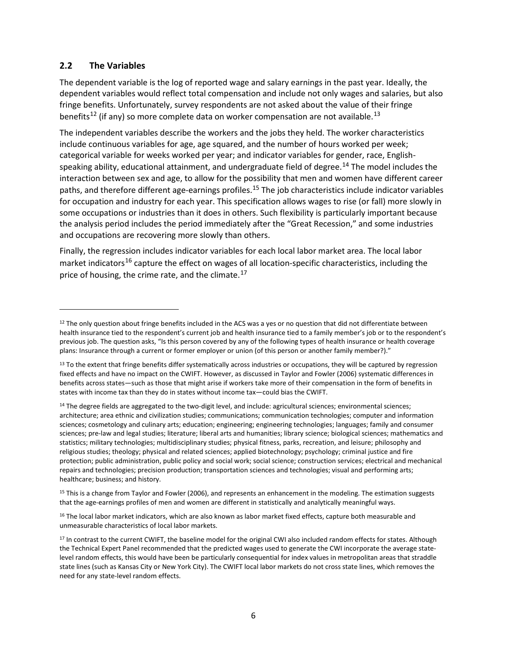## <span id="page-9-0"></span>**2.2 The Variables**

l

The dependent variable is the log of reported wage and salary earnings in the past year. Ideally, the dependent variables would reflect total compensation and include not only wages and salaries, but also fringe benefits. Unfortunately, survey respondents are not asked about the value of their fringe benefits<sup>[12](#page-9-1)</sup> (if any) so more complete data on worker compensation are not available.<sup>[13](#page-9-2)</sup>

The independent variables describe the workers and the jobs they held. The worker characteristics include continuous variables for age, age squared, and the number of hours worked per week; categorical variable for weeks worked per year; and indicator variables for gender, race, English-speaking ability, educational attainment, and undergraduate field of degree.<sup>[14](#page-9-3)</sup> The model includes the interaction between sex and age, to allow for the possibility that men and women have different career paths, and therefore different age-earnings profiles.<sup>[15](#page-9-4)</sup> The job characteristics include indicator variables for occupation and industry for each year. This specification allows wages to rise (or fall) more slowly in some occupations or industries than it does in others. Such flexibility is particularly important because the analysis period includes the period immediately after the "Great Recession," and some industries and occupations are recovering more slowly than others.

Finally, the regression includes indicator variables for each local labor market area. The local labor market indicators<sup>[16](#page-9-5)</sup> capture the effect on wages of all location-specific characteristics, including the price of housing, the crime rate, and the climate.<sup>[17](#page-9-6)</sup>

<span id="page-9-4"></span> $15$  This is a change from Taylor and Fowler (2006), and represents an enhancement in the modeling. The estimation suggests that the age-earnings profiles of men and women are different in statistically and analytically meaningful ways.

<span id="page-9-5"></span><sup>16</sup> The local labor market indicators, which are also known as labor market fixed effects, capture both measurable and unmeasurable characteristics of local labor markets.

<span id="page-9-1"></span><sup>&</sup>lt;sup>12</sup> The only question about fringe benefits included in the ACS was a yes or no question that did not differentiate between health insurance tied to the respondent's current job and health insurance tied to a family member's job or to the respondent's previous job. The question asks, "Is this person covered by any of the following types of health insurance or health coverage plans: Insurance through a current or former employer or union (of this person or another family member?)."

<span id="page-9-2"></span><sup>13</sup> To the extent that fringe benefits differ systematically across industries or occupations, they will be captured by regression fixed effects and have no impact on the CWIFT. However, as discussed in Taylor and Fowler (2006) systematic differences in benefits across states—such as those that might arise if workers take more of their compensation in the form of benefits in states with income tax than they do in states without income tax—could bias the CWIFT.

<span id="page-9-3"></span><sup>&</sup>lt;sup>14</sup> The degree fields are aggregated to the two-digit level, and include: agricultural sciences; environmental sciences; architecture; area ethnic and civilization studies; communications; communication technologies; computer and information sciences; cosmetology and culinary arts; education; engineering; engineering technologies; languages; family and consumer sciences; pre-law and legal studies; literature; liberal arts and humanities; library science; biological sciences; mathematics and statistics; military technologies; multidisciplinary studies; physical fitness, parks, recreation, and leisure; philosophy and religious studies; theology; physical and related sciences; applied biotechnology; psychology; criminal justice and fire protection; public administration, public policy and social work; social science; construction services; electrical and mechanical repairs and technologies; precision production; transportation sciences and technologies; visual and performing arts; healthcare; business; and history.

<span id="page-9-6"></span><sup>&</sup>lt;sup>17</sup> In contrast to the current CWIFT, the baseline model for the original CWI also included random effects for states. Although the Technical Expert Panel recommended that the predicted wages used to generate the CWI incorporate the average statelevel random effects, this would have been be particularly consequential for index values in metropolitan areas that straddle state lines (such as Kansas City or New York City). The CWIFT local labor markets do not cross state lines, which removes the need for any state-level random effects.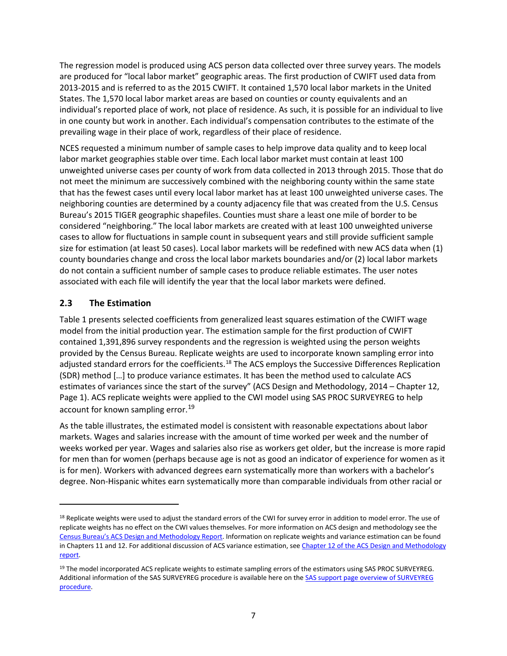The regression model is produced using ACS person data collected over three survey years. The models are produced for "local labor market" geographic areas. The first production of CWIFT used data from 2013-2015 and is referred to as the 2015 CWIFT. It contained 1,570 local labor markets in the United States. The 1,570 local labor market areas are based on counties or county equivalents and an individual's reported place of work, not place of residence. As such, it is possible for an individual to live in one county but work in another. Each individual's compensation contributes to the estimate of the prevailing wage in their place of work, regardless of their place of residence.

NCES requested a minimum number of sample cases to help improve data quality and to keep local labor market geographies stable over time. Each local labor market must contain at least 100 unweighted universe cases per county of work from data collected in 2013 through 2015. Those that do not meet the minimum are successively combined with the neighboring county within the same state that has the fewest cases until every local labor market has at least 100 unweighted universe cases. The neighboring counties are determined by a county adjacency file that was created from the U.S. Census Bureau's 2015 TIGER geographic shapefiles. Counties must share a least one mile of border to be considered "neighboring." The local labor markets are created with at least 100 unweighted universe cases to allow for fluctuations in sample count in subsequent years and still provide sufficient sample size for estimation (at least 50 cases). Local labor markets will be redefined with new ACS data when (1) county boundaries change and cross the local labor markets boundaries and/or (2) local labor markets do not contain a sufficient number of sample cases to produce reliable estimates. The user notes associated with each file will identify the year that the local labor markets were defined.

# <span id="page-10-0"></span>**2.3 The Estimation**

 $\overline{\phantom{a}}$ 

Table 1 presents selected coefficients from generalized least squares estimation of the CWIFT wage model from the initial production year. The estimation sample for the first production of CWIFT contained 1,391,896 survey respondents and the regression is weighted using the person weights provided by the Census Bureau. Replicate weights are used to incorporate known sampling error into adjusted standard errors for the coefficients.<sup>[18](#page-10-1)</sup> The ACS employs the Successive Differences Replication (SDR) method […] to produce variance estimates. It has been the method used to calculate ACS estimates of variances since the start of the survey" (ACS Design and Methodology, 2014 – Chapter 12, Page 1). ACS replicate weights were applied to the CWI model using SAS PROC SURVEYREG to help account for known sampling error.<sup>[19](#page-10-2)</sup>

As the table illustrates, the estimated model is consistent with reasonable expectations about labor markets. Wages and salaries increase with the amount of time worked per week and the number of weeks worked per year. Wages and salaries also rise as workers get older, but the increase is more rapid for men than for women (perhaps because age is not as good an indicator of experience for women as it is for men). Workers with advanced degrees earn systematically more than workers with a bachelor's degree. Non-Hispanic whites earn systematically more than comparable individuals from other racial or

<span id="page-10-1"></span><sup>18</sup> Replicate weights were used to adjust the standard errors of the CWI for survey error in addition to model error. The use of replicate weights has no effect on the CWI values themselves. For more information on ACS design and methodology see the [Census Bureau's ACS Design and Methodology Report.](https://www.census.gov/programs-surveys/acs/methodology/design-and-methodology.html) Information on replicate weights and variance estimation can be found in Chapters 11 and 12. For additional discussion of ACS variance estimation, see Chapter 12 of the ACS Design and Methodology [report.](https://www2.census.gov/programs-surveys/acs/methodology/design_and_methodology/acs_design_methodology_ch12_2014.pdf)

<span id="page-10-2"></span><sup>&</sup>lt;sup>19</sup> The model incorporated ACS replicate weights to estimate sampling errors of the estimators using SAS PROC SURVEYREG. Additional information of the SAS SURVEYREG procedure is available here on the [SAS support page overview of SURVEYREG](https://support.sas.com/documentation/cdl/en/statug/63347/HTML/default/viewer.htm#statug_surveyreg_sect001.htm)  [procedure.](https://support.sas.com/documentation/cdl/en/statug/63347/HTML/default/viewer.htm#statug_surveyreg_sect001.htm)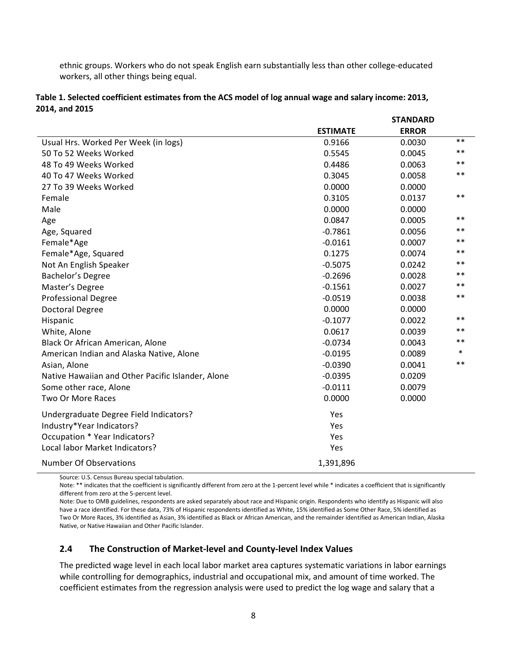ethnic groups. Workers who do not speak English earn substantially less than other college-educated workers, all other things being equal.

|                                                   | <b>STANDARD</b> |              |        |
|---------------------------------------------------|-----------------|--------------|--------|
|                                                   | <b>ESTIMATE</b> | <b>ERROR</b> |        |
| Usual Hrs. Worked Per Week (in logs)              | 0.9166          | 0.0030       | $***$  |
| 50 To 52 Weeks Worked                             | 0.5545          | 0.0045       | $***$  |
| 48 To 49 Weeks Worked                             | 0.4486          | 0.0063       | $***$  |
| 40 To 47 Weeks Worked                             | 0.3045          | 0.0058       | $***$  |
| 27 To 39 Weeks Worked                             | 0.0000          | 0.0000       |        |
| Female                                            | 0.3105          | 0.0137       | $***$  |
| Male                                              | 0.0000          | 0.0000       |        |
| Age                                               | 0.0847          | 0.0005       | $***$  |
| Age, Squared                                      | $-0.7861$       | 0.0056       | $***$  |
| Female*Age                                        | $-0.0161$       | 0.0007       | $***$  |
| Female*Age, Squared                               | 0.1275          | 0.0074       | $***$  |
| Not An English Speaker                            | $-0.5075$       | 0.0242       | $***$  |
| Bachelor's Degree                                 | $-0.2696$       | 0.0028       | $***$  |
| Master's Degree                                   | $-0.1561$       | 0.0027       | $***$  |
| <b>Professional Degree</b>                        | $-0.0519$       | 0.0038       | $***$  |
| <b>Doctoral Degree</b>                            | 0.0000          | 0.0000       |        |
| Hispanic                                          | $-0.1077$       | 0.0022       | $***$  |
| White, Alone                                      | 0.0617          | 0.0039       | $***$  |
| Black Or African American, Alone                  | $-0.0734$       | 0.0043       | $***$  |
| American Indian and Alaska Native, Alone          | $-0.0195$       | 0.0089       | $\ast$ |
| Asian, Alone                                      | $-0.0390$       | 0.0041       | $**$   |
| Native Hawaiian and Other Pacific Islander, Alone | $-0.0395$       | 0.0209       |        |
| Some other race, Alone                            | $-0.0111$       | 0.0079       |        |
| <b>Two Or More Races</b>                          | 0.0000          | 0.0000       |        |
| Undergraduate Degree Field Indicators?            | Yes             |              |        |
| Industry*Year Indicators?                         | Yes             |              |        |
| Occupation * Year Indicators?                     | Yes             |              |        |
| Local labor Market Indicators?                    | Yes             |              |        |
| <b>Number Of Observations</b>                     | 1,391,896       |              |        |

#### **Table 1. Selected coefficient estimates from the ACS model of log annual wage and salary income: 2013, 2014, and 2015**

Source: U.S. Census Bureau special tabulation.

Note: \*\* indicates that the coefficient is significantly different from zero at the 1-percent level while \* indicates a coefficient that is significantly different from zero at the 5-percent level.

Note: Due to OMB guidelines, respondents are asked separately about race and Hispanic origin. Respondents who identify as Hispanic will also have a race identified. For these data, 73% of Hispanic respondents identified as White, 15% identified as Some Other Race, 5% identified as Two Or More Races, 3% identified as Asian, 3% identified as Black or African American, and the remainder identified as American Indian, Alaska Native, or Native Hawaiian and Other Pacific Islander.

#### <span id="page-11-0"></span>**2.4 The Construction of Market-level and County-level Index Values**

The predicted wage level in each local labor market area captures systematic variations in labor earnings while controlling for demographics, industrial and occupational mix, and amount of time worked. The coefficient estimates from the regression analysis were used to predict the log wage and salary that a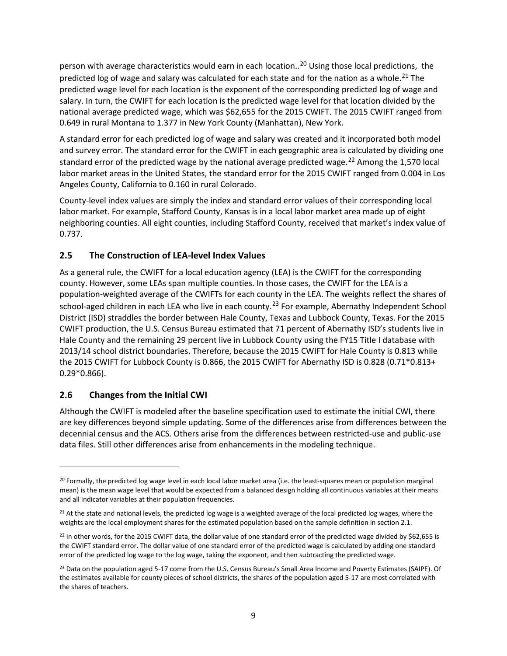person with average characteristics would earn in each location..<sup>[20](#page-12-2)</sup> Using those local predictions, the predicted log of wage and salary was calculated for each state and for the nation as a whole.<sup>[21](#page-12-3)</sup> The predicted wage level for each location is the exponent of the corresponding predicted log of wage and salary. In turn, the CWIFT for each location is the predicted wage level for that location divided by the national average predicted wage, which was \$62,655 for the 2015 CWIFT. The 2015 CWIFT ranged from 0.649 in rural Montana to 1.377 in New York County (Manhattan), New York.

A standard error for each predicted log of wage and salary was created and it incorporated both model and survey error. The standard error for the CWIFT in each geographic area is calculated by dividing one standard error of the predicted wage by the national average predicted wage.<sup>[22](#page-12-4)</sup> Among the 1,570 local labor market areas in the United States, the standard error for the 2015 CWIFT ranged from 0.004 in Los Angeles County, California to 0.160 in rural Colorado.

County-level index values are simply the index and standard error values of their corresponding local labor market. For example, Stafford County, Kansas is in a local labor market area made up of eight neighboring counties. All eight counties, including Stafford County, received that market's index value of 0.737.

## <span id="page-12-0"></span>**2.5 The Construction of LEA-level Index Values**

As a general rule, the CWIFT for a local education agency (LEA) is the CWIFT for the corresponding county. However, some LEAs span multiple counties. In those cases, the CWIFT for the LEA is a population-weighted average of the CWIFTs for each county in the LEA. The weights reflect the shares of school-aged children in each LEA who live in each county.<sup>[23](#page-12-5)</sup> For example, Abernathy Independent School District (ISD) straddles the border between Hale County, Texas and Lubbock County, Texas. For the 2015 CWIFT production, the U.S. Census Bureau estimated that 71 percent of Abernathy ISD's students live in Hale County and the remaining 29 percent live in Lubbock County using the FY15 Title I database with 2013/14 school district boundaries. Therefore, because the 2015 CWIFT for Hale County is 0.813 while the 2015 CWIFT for Lubbock County is 0.866, the 2015 CWIFT for Abernathy ISD is 0.828 (0.71\*0.813+ 0.29\*0.866).

## <span id="page-12-1"></span>**2.6 Changes from the Initial CWI**

 $\overline{\phantom{a}}$ 

Although the CWIFT is modeled after the baseline specification used to estimate the initial CWI, there are key differences beyond simple updating. Some of the differences arise from differences between the decennial census and the ACS. Others arise from the differences between restricted-use and public-use data files. Still other differences arise from enhancements in the modeling technique.

<span id="page-12-2"></span><sup>&</sup>lt;sup>20</sup> Formally, the predicted log wage level in each local labor market area (i.e. the least-squares mean or population marginal mean) is the mean wage level that would be expected from a balanced design holding all continuous variables at their means and all indicator variables at their population frequencies.

<span id="page-12-3"></span><sup>&</sup>lt;sup>21</sup> At the state and national levels, the predicted log wage is a weighted average of the local predicted log wages, where the weights are the local employment shares for the estimated population based on the sample definition in section 2.1.

<span id="page-12-4"></span><sup>&</sup>lt;sup>22</sup> In other words, for the 2015 CWIFT data, the dollar value of one standard error of the predicted wage divided by \$62,655 is the CWIFT standard error. The dollar value of one standard error of the predicted wage is calculated by adding one standard error of the predicted log wage to the log wage, taking the exponent, and then subtracting the predicted wage.

<span id="page-12-5"></span><sup>&</sup>lt;sup>23</sup> Data on the population aged 5-17 come from the U.S. Census Bureau's Small Area Income and Poverty Estimates (SAIPE). Of the estimates available for county pieces of school districts, the shares of the population aged 5-17 are most correlated with the shares of teachers.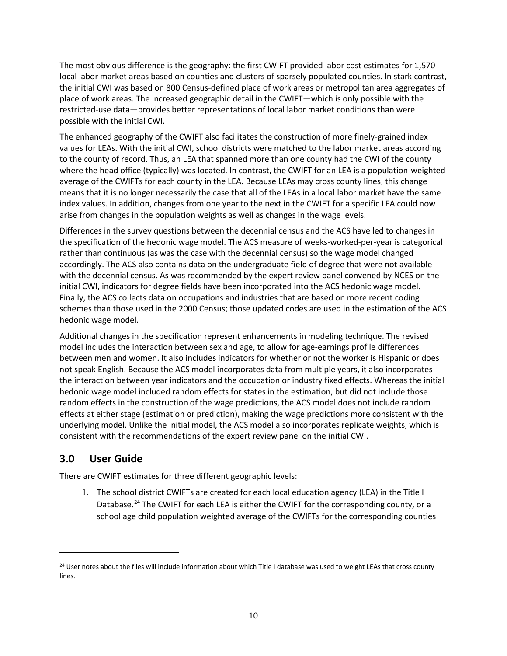The most obvious difference is the geography: the first CWIFT provided labor cost estimates for 1,570 local labor market areas based on counties and clusters of sparsely populated counties. In stark contrast, the initial CWI was based on 800 Census-defined place of work areas or metropolitan area aggregates of place of work areas. The increased geographic detail in the CWIFT—which is only possible with the restricted-use data—provides better representations of local labor market conditions than were possible with the initial CWI.

The enhanced geography of the CWIFT also facilitates the construction of more finely-grained index values for LEAs. With the initial CWI, school districts were matched to the labor market areas according to the county of record. Thus, an LEA that spanned more than one county had the CWI of the county where the head office (typically) was located. In contrast, the CWIFT for an LEA is a population-weighted average of the CWIFTs for each county in the LEA. Because LEAs may cross county lines, this change means that it is no longer necessarily the case that all of the LEAs in a local labor market have the same index values. In addition, changes from one year to the next in the CWIFT for a specific LEA could now arise from changes in the population weights as well as changes in the wage levels.

Differences in the survey questions between the decennial census and the ACS have led to changes in the specification of the hedonic wage model. The ACS measure of weeks-worked-per-year is categorical rather than continuous (as was the case with the decennial census) so the wage model changed accordingly. The ACS also contains data on the undergraduate field of degree that were not available with the decennial census. As was recommended by the expert review panel convened by NCES on the initial CWI, indicators for degree fields have been incorporated into the ACS hedonic wage model. Finally, the ACS collects data on occupations and industries that are based on more recent coding schemes than those used in the 2000 Census; those updated codes are used in the estimation of the ACS hedonic wage model.

Additional changes in the specification represent enhancements in modeling technique. The revised model includes the interaction between sex and age, to allow for age-earnings profile differences between men and women. It also includes indicators for whether or not the worker is Hispanic or does not speak English. Because the ACS model incorporates data from multiple years, it also incorporates the interaction between year indicators and the occupation or industry fixed effects. Whereas the initial hedonic wage model included random effects for states in the estimation, but did not include those random effects in the construction of the wage predictions, the ACS model does not include random effects at either stage (estimation or prediction), making the wage predictions more consistent with the underlying model. Unlike the initial model, the ACS model also incorporates replicate weights, which is consistent with the recommendations of the expert review panel on the initial CWI.

# <span id="page-13-0"></span>**3.0 User Guide**

 $\overline{\phantom{a}}$ 

There are CWIFT estimates for three different geographic levels:

1. The school district CWIFTs are created for each local education agency (LEA) in the Title I Database.<sup>[24](#page-13-1)</sup> The CWIFT for each LEA is either the CWIFT for the corresponding county, or a school age child population weighted average of the CWIFTs for the corresponding counties

<span id="page-13-1"></span><sup>&</sup>lt;sup>24</sup> User notes about the files will include information about which Title I database was used to weight LEAs that cross county lines.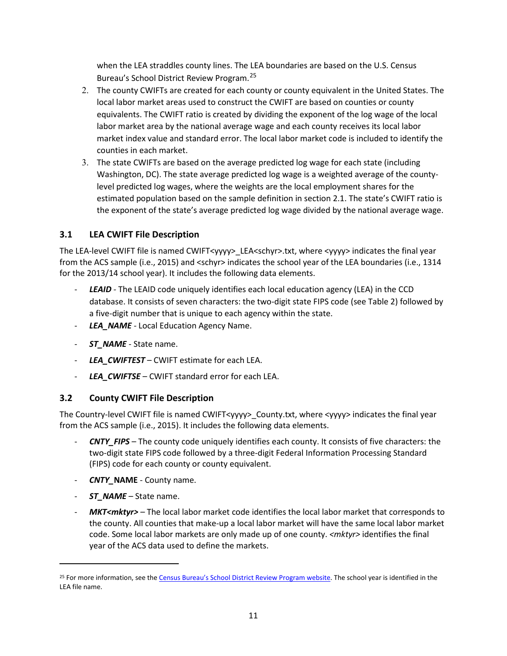when the LEA straddles county lines. The LEA boundaries are based on the U.S. Census Bureau's School District Review Program.[25](#page-14-2)

- 2. The county CWIFTs are created for each county or county equivalent in the United States. The local labor market areas used to construct the CWIFT are based on counties or county equivalents. The CWIFT ratio is created by dividing the exponent of the log wage of the local labor market area by the national average wage and each county receives its local labor market index value and standard error. The local labor market code is included to identify the counties in each market.
- 3. The state CWIFTs are based on the average predicted log wage for each state (including Washington, DC). The state average predicted log wage is a weighted average of the countylevel predicted log wages, where the weights are the local employment shares for the estimated population based on the sample definition in section 2.1. The state's CWIFT ratio is the exponent of the state's average predicted log wage divided by the national average wage.

# <span id="page-14-0"></span>**3.1 LEA CWIFT File Description**

The LEA-level CWIFT file is named CWIFT<yyyy> LEA<schyr>.txt, where <yyyy> indicates the final year from the ACS sample (i.e., 2015) and <schyr> indicates the school year of the LEA boundaries (i.e., 1314 for the 2013/14 school year). It includes the following data elements.

- LEAID The LEAID code uniquely identifies each local education agency (LEA) in the CCD database. It consists of seven characters: the two-digit state FIPS code (see Table 2) followed by a five-digit number that is unique to each agency within the state.
- *LEA\_NAME* Local Education Agency Name.
- *ST\_NAME* State name.
- *LEA\_CWIFTEST* CWIFT estimate for each LEA.
- *LEA\_CWIFTSE* CWIFT standard error for each LEA.

# <span id="page-14-1"></span>**3.2 County CWIFT File Description**

The Country-level CWIFT file is named CWIFT<yyyy>\_County.txt, where <yyyy> indicates the final year from the ACS sample (i.e., 2015). It includes the following data elements.

- *CNTY\_FIPS* The county code uniquely identifies each county. It consists of five characters: the two-digit state FIPS code followed by a three-digit Federal Information Processing Standard (FIPS) code for each county or county equivalent.
- *CNTY\_***NAME** County name.
- ST\_NAME State name.

l

*MKT<mktyr>* – The local labor market code identifies the local labor market that corresponds to the county. All counties that make-up a local labor market will have the same local labor market code. Some local labor markets are only made up of one county. *<mktyr>* identifies the final year of the ACS data used to define the markets.

<span id="page-14-2"></span><sup>&</sup>lt;sup>25</sup> For more information, see th[e Census Bureau's School District Review Program website.](https://www.census.gov/programs-surveys/sdrp.html) The school year is identified in the LEA file name.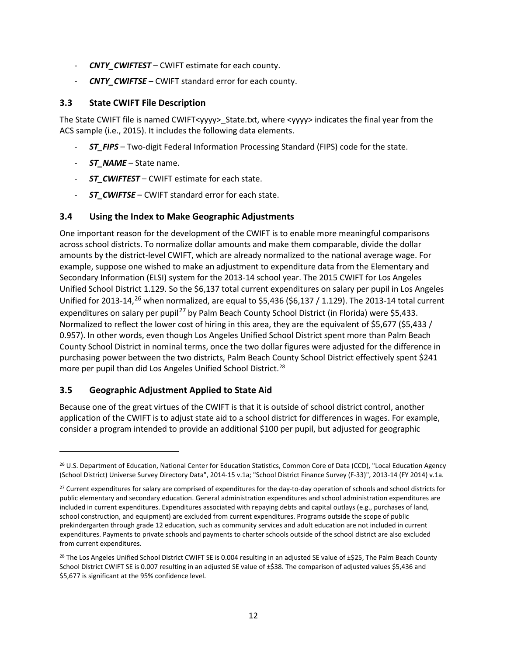- **CNTY\_CWIFTEST** CWIFT estimate for each county.
- *CNTY\_CWIFTSE* CWIFT standard error for each county.

### <span id="page-15-0"></span>**3.3 State CWIFT File Description**

The State CWIFT file is named CWIFT<yyyy> State.txt, where <yyyy> indicates the final year from the ACS sample (i.e., 2015). It includes the following data elements.

- **ST\_FIPS** Two-digit Federal Information Processing Standard (FIPS) code for the state.
- *ST\_NAME*  State name.
- **ST\_CWIFTEST** CWIFT estimate for each state.
- *ST\_CWIFTSE* CWIFT standard error for each state.

## <span id="page-15-1"></span>**3.4 Using the Index to Make Geographic Adjustments**

One important reason for the development of the CWIFT is to enable more meaningful comparisons across school districts. To normalize dollar amounts and make them comparable, divide the dollar amounts by the district-level CWIFT, which are already normalized to the national average wage. For example, suppose one wished to make an adjustment to expenditure data from the Elementary and Secondary Information (ELSI) system for the 2013-14 school year. The 2015 CWIFT for Los Angeles Unified School District 1.129. So the \$6,137 total current expenditures on salary per pupil in Los Angeles Unified for 2013-14,<sup>[26](#page-15-3)</sup> when normalized, are equal to \$5,436 (\$6,137 / 1.129). The 2013-14 total current expenditures on salary per pupil<sup>[27](#page-15-4)</sup> by Palm Beach County School District (in Florida) were \$5,433. Normalized to reflect the lower cost of hiring in this area, they are the equivalent of \$5,677 (\$5,433 / 0.957). In other words, even though Los Angeles Unified School District spent more than Palm Beach County School District in nominal terms, once the two dollar figures were adjusted for the difference in purchasing power between the two districts, Palm Beach County School District effectively spent \$241 more per pupil than did Los Angeles Unified School District.<sup>28</sup>

## <span id="page-15-2"></span>**3.5 Geographic Adjustment Applied to State Aid**

 $\overline{\phantom{a}}$ 

Because one of the great virtues of the CWIFT is that it is outside of school district control, another application of the CWIFT is to adjust state aid to a school district for differences in wages. For example, consider a program intended to provide an additional \$100 per pupil, but adjusted for geographic

<span id="page-15-3"></span><sup>26</sup> U.S. Department of Education, National Center for Education Statistics, Common Core of Data (CCD), "Local Education Agency (School District) Universe Survey Directory Data", 2014-15 v.1a; "School District Finance Survey (F-33)", 2013-14 (FY 2014) v.1a.

<span id="page-15-4"></span><sup>&</sup>lt;sup>27</sup> Current expenditures for salary are comprised of expenditures for the day-to-day operation of schools and school districts for public elementary and secondary education. General administration expenditures and school administration expenditures are included in current expenditures. Expenditures associated with repaying debts and capital outlays (e.g., purchases of land, school construction, and equipment) are excluded from current expenditures. Programs outside the scope of public prekindergarten through grade 12 education, such as community services and adult education are not included in current expenditures. Payments to private schools and payments to charter schools outside of the school district are also excluded from current expenditures.

<span id="page-15-5"></span><sup>&</sup>lt;sup>28</sup> The Los Angeles Unified School District CWIFT SE is 0.004 resulting in an adjusted SE value of  $\pm$ \$25, The Palm Beach County School District CWIFT SE is 0.007 resulting in an adjusted SE value of ±\$38. The comparison of adjusted values \$5,436 and \$5,677 is significant at the 95% confidence level.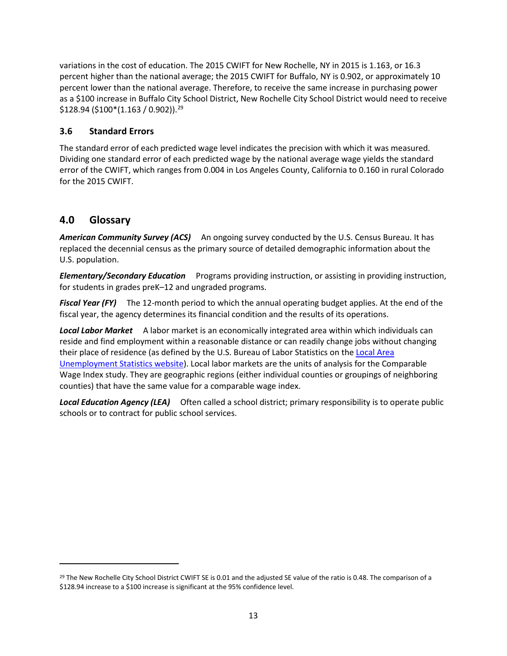variations in the cost of education. The 2015 CWIFT for New Rochelle, NY in 2015 is 1.163, or 16.3 percent higher than the national average; the 2015 CWIFT for Buffalo, NY is 0.902, or approximately 10 percent lower than the national average. Therefore, to receive the same increase in purchasing power as a \$100 increase in Buffalo City School District, New Rochelle City School District would need to receive  $$128.94 ($100*(1.163 / 0.902))$ .<sup>[29](#page-16-2)</sup>

# <span id="page-16-0"></span>**3.6 Standard Errors**

The standard error of each predicted wage level indicates the precision with which it was measured. Dividing one standard error of each predicted wage by the national average wage yields the standard error of the CWIFT, which ranges from 0.004 in Los Angeles County, California to 0.160 in rural Colorado for the 2015 CWIFT.

# <span id="page-16-1"></span>**4.0 Glossary**

l

*American Community Survey (ACS)* An ongoing survey conducted by the U.S. Census Bureau. It has replaced the decennial census as the primary source of detailed demographic information about the U.S. population.

*Elementary/Secondary Education*Programs providing instruction, or assisting in providing instruction, for students in grades preK–12 and ungraded programs.

*Fiscal Year (FY)*The 12-month period to which the annual operating budget applies. At the end of the fiscal year, the agency determines its financial condition and the results of its operations.

*Local Labor Market*A labor market is an economically integrated area within which individuals can reside and find employment within a reasonable distance or can readily change jobs without changing their place of residence (as defined by the U.S. Bureau of Labor Statistics on the [Local Area](https://www.bls.gov/lau/laufaq.htm#Q06)  [Unemployment Statistics website\)](https://www.bls.gov/lau/laufaq.htm#Q06). Local labor markets are the units of analysis for the Comparable Wage Index study. They are geographic regions (either individual counties or groupings of neighboring counties) that have the same value for a comparable wage index.

**Local Education Agency (LEA)** Often called a school district; primary responsibility is to operate public schools or to contract for public school services.

<span id="page-16-2"></span><sup>&</sup>lt;sup>29</sup> The New Rochelle City School District CWIFT SE is 0.01 and the adjusted SE value of the ratio is 0.48. The comparison of a \$128.94 increase to a \$100 increase is significant at the 95% confidence level.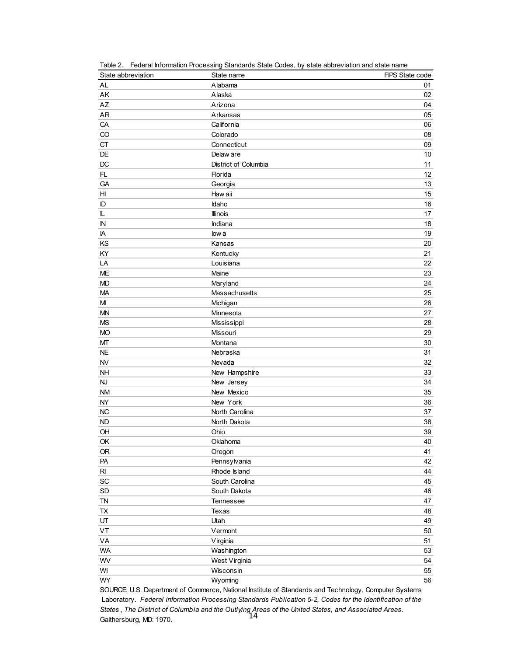| State abbreviation           | State name           | FIPS State code |
|------------------------------|----------------------|-----------------|
| AL                           | Alabama              | 01              |
| AK                           | Alaska               | 02              |
| AZ                           | Arizona              | 04              |
| AR                           | Arkansas             | 05              |
| CA                           | California           | 06              |
| CO                           | Colorado             | 08              |
| <b>CT</b>                    | Connecticut          | 09              |
| DE                           | Delaw are            | 10              |
| DC                           | District of Columbia | 11              |
| FL                           | Florida              | 12              |
| GA                           | Georgia              | 13              |
| H                            | Haw aii              | 15              |
| ID                           | Idaho                | 16              |
| L                            | Illinois             | 17              |
| $\mathbb N$                  | Indiana              | 18              |
| IA                           | low a                | 19              |
| KS                           | Kansas               | 20              |
| KY                           | Kentucky             | 21              |
| LA                           | Louisiana            | 22              |
| <b>ME</b>                    | Maine                | 23              |
| <b>MD</b>                    | Maryland             | 24              |
| <b>MA</b>                    | Massachusetts        | 25              |
| MI                           | Michigan             | 26              |
| MN                           | Minnesota            | 27              |
| <b>MS</b>                    | Mississippi          | 28              |
| <b>MO</b>                    | Missouri             | 29              |
| МT                           | Montana              | 30              |
| <b>NE</b>                    | Nebraska             | 31              |
| <b>NV</b>                    | Nevada               | 32              |
| <b>NH</b>                    | New Hampshire        | 33              |
| <b>NJ</b>                    | New Jersey           | 34              |
| <b>NM</b>                    | New Mexico           | 35              |
| <b>NY</b>                    | New York             | 36              |
| <b>NC</b>                    | North Carolina       | 37              |
| <b>ND</b>                    | North Dakota         | 38              |
| OH                           | Ohio                 | 39              |
| OK                           | Oklahoma             | 40              |
| 0R                           | Oregon               | 41              |
| PA                           | Pennsylvania         | 42              |
| $R_{\rm I}$                  | Rhode Island         | 44              |
| $\operatorname{\textsf{SC}}$ | South Carolina       | 45              |
| $\mathsf{SD}$                | South Dakota         | 46              |
| ${\sf TN}$                   | Tennessee            | 47              |
| ${\sf TX}$                   | Texas                | 48              |
| UT                           | Utah                 | 49              |
| VT                           | Vermont              | 50              |
| VA                           | Virginia             | 51              |
| <b>WA</b>                    | Washington           | 53              |
| WV                           | West Virginia        | 54              |
| WI                           | Wisconsin            | 55              |
| WY                           | Wyoming              | 56              |

Table 2. Federal Information Processing Standards State Codes, by state abbreviation and state name

SOURCE: U.S. Department of Commerce, National Institute of Standards and Technology, Computer Systems Laboratory. *Federal Information Processing Standards Publication 5-2, Codes for the Identification of the States* , *The District of Columbia and the Outlying Areas of the United States, and Associated Areas.* Gaithersburg, MD: 1970. 14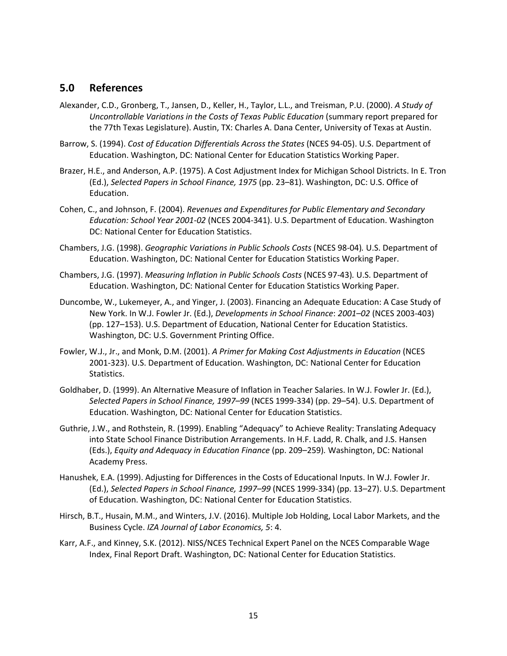## <span id="page-18-0"></span>**5.0 References**

- Alexander, C.D., Gronberg, T., Jansen, D., Keller, H., Taylor, L.L., and Treisman, P.U. (2000). *A Study of Uncontrollable Variations in the Costs of Texas Public Education* (summary report prepared for the 77th Texas Legislature). Austin, TX: Charles A. Dana Center, University of Texas at Austin.
- Barrow, S. (1994). *Cost of Education Differentials Across the States* (NCES 94-05). U.S. Department of Education. Washington, DC: National Center for Education Statistics Working Paper.
- Brazer, H.E., and Anderson, A.P. (1975). A Cost Adjustment Index for Michigan School Districts. In E. Tron (Ed.), *Selected Papers in School Finance, 1975* (pp. 23–81). Washington, DC: U.S. Office of Education.
- Cohen, C., and Johnson, F. (2004). *Revenues and Expenditures for Public Elementary and Secondary Education: School Year 2001-02* (NCES 2004-341). U.S. Department of Education. Washington DC: National Center for Education Statistics.
- Chambers, J.G. (1998). *Geographic Variations in Public Schools Costs* (NCES 98-04)*.* U.S. Department of Education. Washington, DC: National Center for Education Statistics Working Paper.
- Chambers, J.G. (1997). *Measuring Inflation in Public Schools Costs* (NCES 97-43)*.* U.S. Department of Education. Washington, DC: National Center for Education Statistics Working Paper.
- Duncombe, W., Lukemeyer, A., and Yinger, J. (2003). Financing an Adequate Education: A Case Study of New York. In W.J. Fowler Jr. (Ed.), *Developments in School Finance*: *2001–02* (NCES 2003-403) (pp. 127–153). U.S. Department of Education, National Center for Education Statistics. Washington, DC: U.S. Government Printing Office.
- Fowler, W.J., Jr., and Monk, D.M. (2001). *A Primer for Making Cost Adjustments in Education* (NCES 2001-323). U.S. Department of Education. Washington, DC: National Center for Education Statistics.
- Goldhaber, D. (1999). An Alternative Measure of Inflation in Teacher Salaries. In W.J. Fowler Jr. (Ed.), *Selected Papers in School Finance, 1997–99* (NCES 1999-334) (pp. 29–54). U.S. Department of Education. Washington, DC: National Center for Education Statistics.
- Guthrie, J.W., and Rothstein, R. (1999). Enabling "Adequacy" to Achieve Reality: Translating Adequacy into State School Finance Distribution Arrangements. In H.F. Ladd, R. Chalk, and J.S. Hansen (Eds.), *Equity and Adequacy in Education Finance* (pp. 209–259)*.* Washington, DC: National Academy Press.
- Hanushek, E.A. (1999). Adjusting for Differences in the Costs of Educational Inputs. In W.J. Fowler Jr. (Ed.), *Selected Papers in School Finance, 1997–99* (NCES 1999-334) (pp. 13–27). U.S. Department of Education. Washington, DC: National Center for Education Statistics.
- Hirsch, B.T., Husain, M.M., and Winters, J.V. (2016). Multiple Job Holding, Local Labor Markets, and the Business Cycle. *IZA Journal of Labor Economics, 5*: 4.
- Karr, A.F., and Kinney, S.K. (2012). NISS/NCES Technical Expert Panel on the NCES Comparable Wage Index, Final Report Draft. Washington, DC: National Center for Education Statistics.